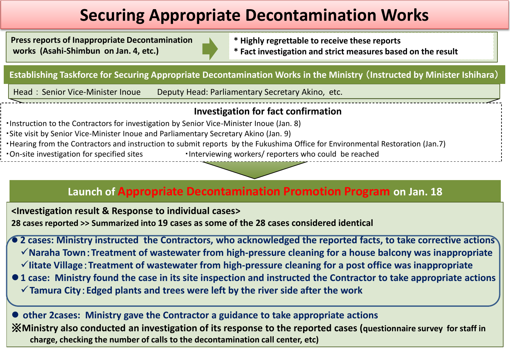# **Securing Appropriate Decontamination Works**

**Press reports of Inappropriate Decontamination works (Asahi-Shimbun on Jan. 4, etc.)**

**\* Highly regrettable to receive these reports \* Fact investigation and strict measures based on the result**

**Establishing Taskforce for Securing Appropriate Decontamination Works in the Ministry** (**Instructed by Minister Ishihara**)

Head: Senior Vice-Minister Inoue Deputy Head: Parliamentary Secretary Akino, etc.

#### **Investigation for fact confirmation**

・Instruction to the Contractors for investigation by Senior Vice-Minister Inoue (Jan. 8) ・Site visit by Senior Vice-Minister Inoue and Parliamentary Secretary Akino (Jan. 9) ・Hearing from the Contractors and instruction to submit reports by the Fukushima Office for Environmental Restoration (Jan.7) • On-site investigation for specified sites • Interviewing workers/ reporters who could be reached

### **Launch of Appropriate Decontamination Promotion Program on Jan. 18**

**<Investigation result & Response to individual cases>**

**28 cases reported >> Summarized into 19 cases as some of the 28 cases considered identical**

 **2 cases: Ministry instructed the Contractors, who acknowledged the reported facts, to take corrective actions Naraha Town**:**Treatment of wastewater from high-pressure cleaning for a house balcony was inappropriate Iitate Village**:**Treatment of wastewater from high-pressure cleaning for a post office was inappropriate**

**1 case: Ministry found the case in its site inspection and instructed the Contractor to take appropriate actions Tamura City**:**Edged plants and trees were left by the river side after the work** 

 **other 2cases: Ministry gave the Contractor a guidance to take appropriate actions**  ※**Ministry also conducted an investigation of its response to the reported cases (questionnaire survey for staff in charge, checking the number of calls to the decontamination call center, etc)**